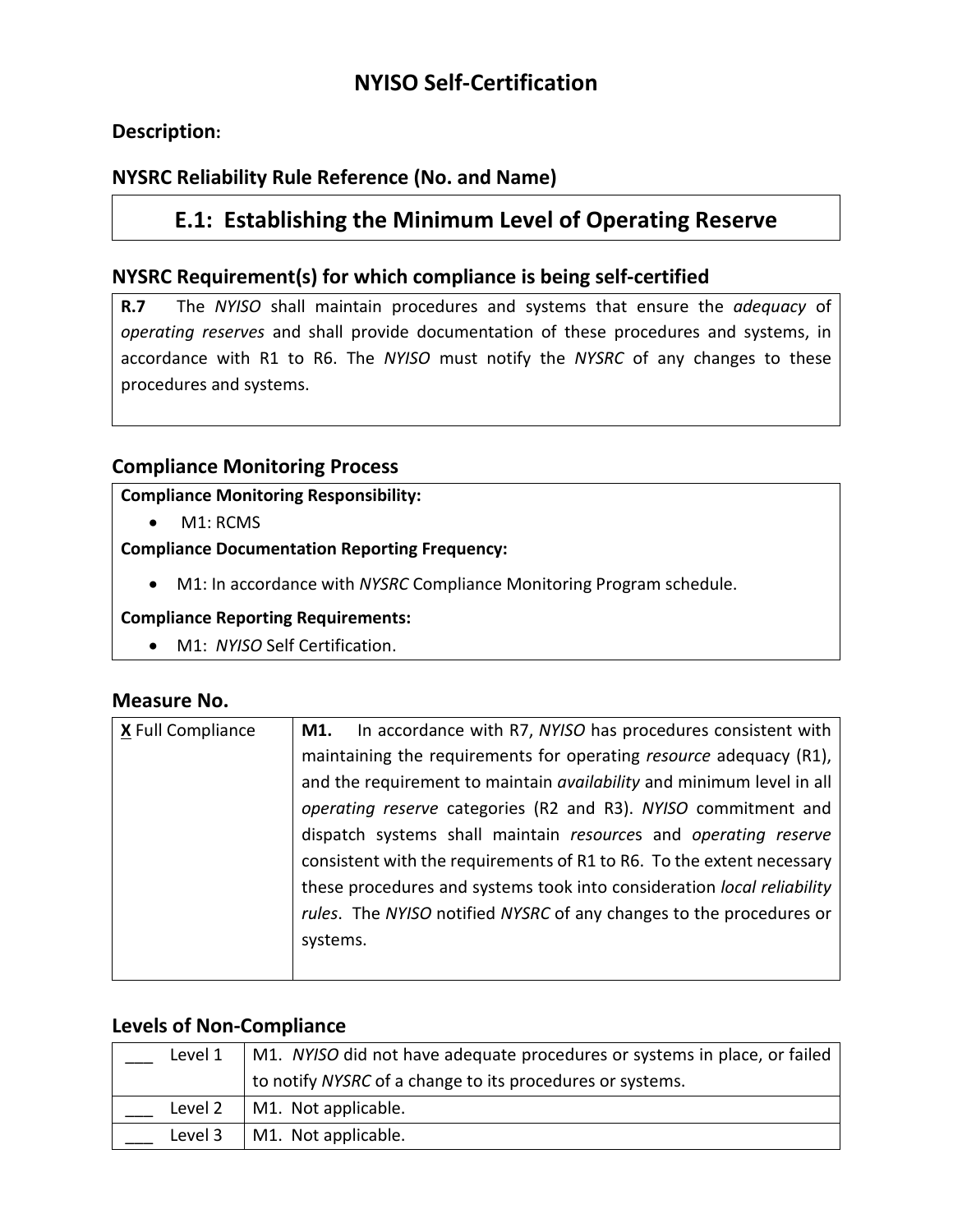# **NYISO Self-Certification**

## **Description:**

## **NYSRC Reliability Rule Reference (No. and Name)**

## **E.1: Establishing the Minimum Level of Operating Reserve**

### **NYSRC Requirement(s) for which compliance is being self-certified**

**R.7** The *NYISO* shall maintain procedures and systems that ensure the *adequacy* of *operating reserves* and shall provide documentation of these procedures and systems, in accordance with R1 to R6. The *NYISO* must notify the *NYSRC* of any changes to these procedures and systems.

## **Compliance Monitoring Process**

#### **Compliance Monitoring Responsibility:**

• M1: RCMS

#### **Compliance Documentation Reporting Frequency:**

• M1: In accordance with *NYSRC* Compliance Monitoring Program schedule.

#### **Compliance Reporting Requirements:**

• M1: *NYISO* Self Certification.

#### **Measure No.**

| X Full Compliance | In accordance with R7, NYISO has procedures consistent with<br>M1.     |
|-------------------|------------------------------------------------------------------------|
|                   | maintaining the requirements for operating resource adequacy (R1),     |
|                   | and the requirement to maintain availability and minimum level in all  |
|                   | operating reserve categories (R2 and R3). NYISO commitment and         |
|                   | dispatch systems shall maintain resources and operating reserve        |
|                   | consistent with the requirements of R1 to R6. To the extent necessary  |
|                   | these procedures and systems took into consideration local reliability |
|                   | rules. The NYISO notified NYSRC of any changes to the procedures or    |
|                   | systems.                                                               |
|                   |                                                                        |

### **Levels of Non-Compliance**

| Level 1 | M1. NYISO did not have adequate procedures or systems in place, or failed |
|---------|---------------------------------------------------------------------------|
|         | to notify NYSRC of a change to its procedures or systems.                 |
| Level 2 | M1. Not applicable.                                                       |
| Level 3 | M1. Not applicable.                                                       |